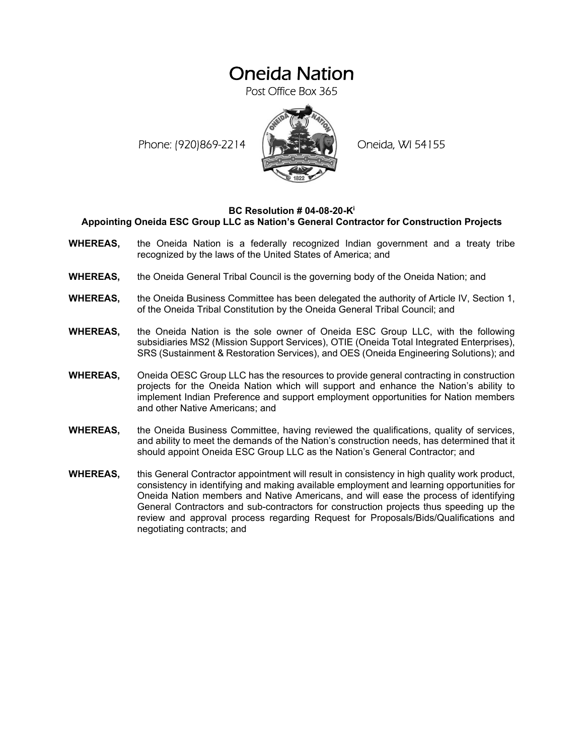## Oneida Nation

Post Office Box 365

Phone: (920)869-2214 (XXXXXXX) Oneida, WI 54155



## **BC Resolution # 04-08-20-Ki Appointing Oneida ESC Group LLC as Nation's General Contractor for Construction Projects**

- **WHEREAS,** the Oneida Nation is a federally recognized Indian government and a treaty tribe recognized by the laws of the United States of America; and
- **WHEREAS,** the Oneida General Tribal Council is the governing body of the Oneida Nation; and
- **WHEREAS,** the Oneida Business Committee has been delegated the authority of Article IV, Section 1, of the Oneida Tribal Constitution by the Oneida General Tribal Council; and
- **WHEREAS,** the Oneida Nation is the sole owner of Oneida ESC Group LLC, with the following subsidiaries MS2 (Mission Support Services), OTIE (Oneida Total Integrated Enterprises), SRS (Sustainment & Restoration Services), and OES (Oneida Engineering Solutions); and
- **WHEREAS,** Oneida OESC Group LLC has the resources to provide general contracting in construction projects for the Oneida Nation which will support and enhance the Nation's ability to implement Indian Preference and support employment opportunities for Nation members and other Native Americans; and
- **WHEREAS,** the Oneida Business Committee, having reviewed the qualifications, quality of services, and ability to meet the demands of the Nation's construction needs, has determined that it should appoint Oneida ESC Group LLC as the Nation's General Contractor; and
- **WHEREAS,** this General Contractor appointment will result in consistency in high quality work product, consistency in identifying and making available employment and learning opportunities for Oneida Nation members and Native Americans, and will ease the process of identifying General Contractors and sub-contractors for construction projects thus speeding up the review and approval process regarding Request for Proposals/Bids/Qualifications and negotiating contracts; and